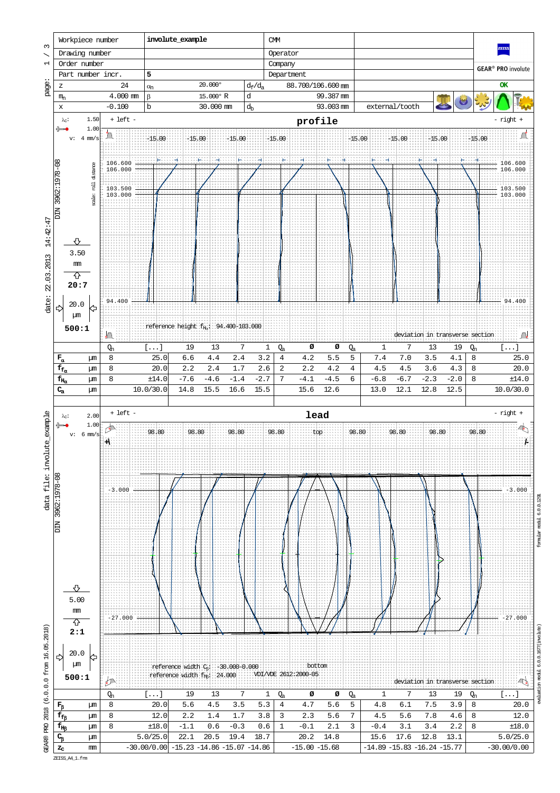

ZEISS\_A4\_1.frm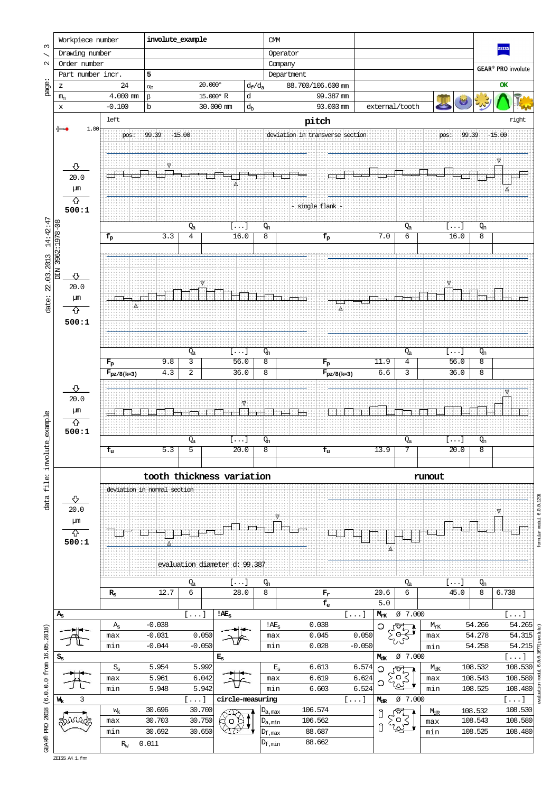

evaluation modul 6.0.0.1677(involute) formular modul 6.0.0.1291 rodul ation

ZEISS\_A4\_1.frm